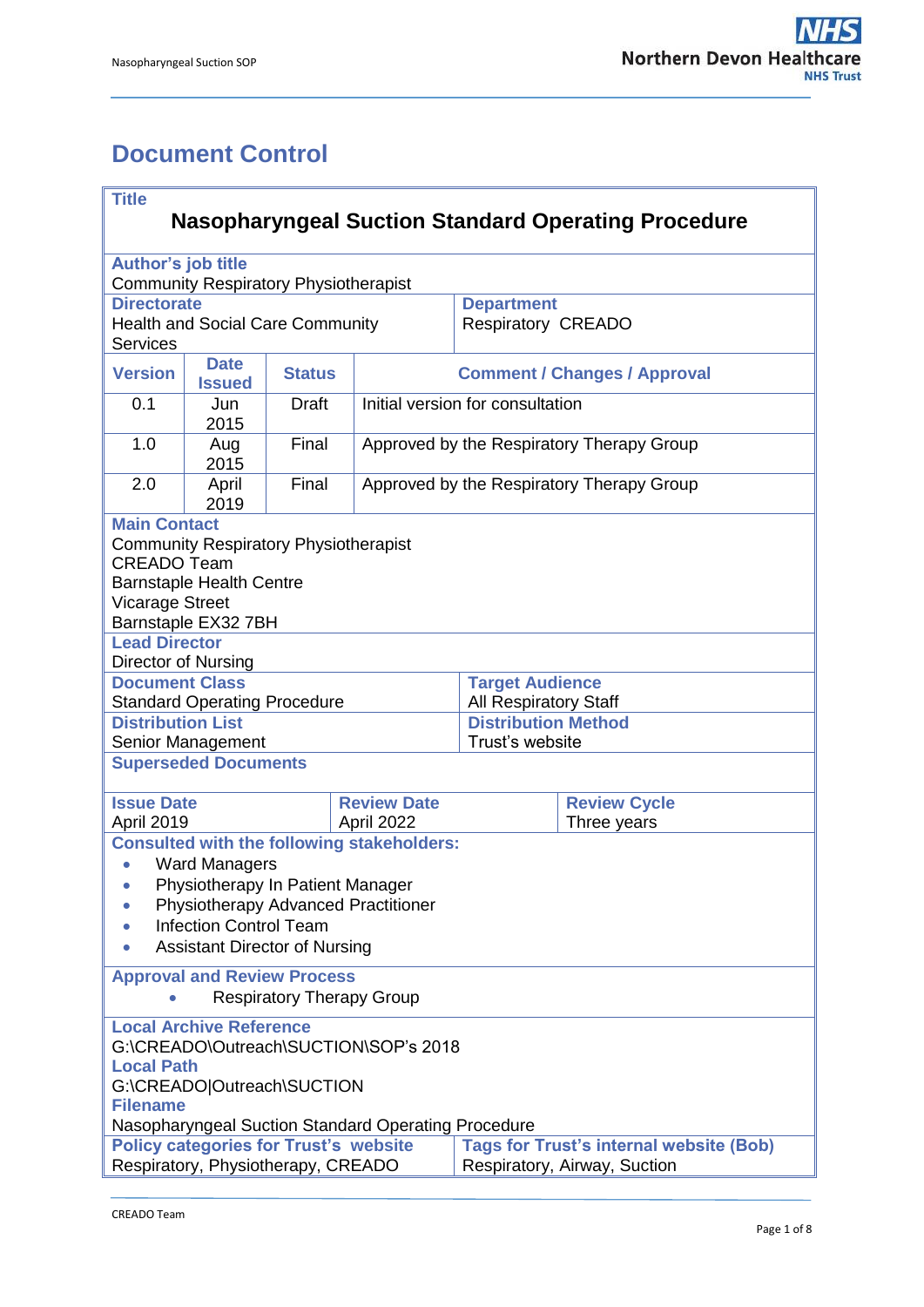# <span id="page-0-0"></span>**Document Control**

| <b>Title</b><br><b>Nasopharyngeal Suction Standard Operating Procedure</b>                                                                                                                           |                                                                                         |               |                                                   |                                           |                     |  |  |  |
|------------------------------------------------------------------------------------------------------------------------------------------------------------------------------------------------------|-----------------------------------------------------------------------------------------|---------------|---------------------------------------------------|-------------------------------------------|---------------------|--|--|--|
|                                                                                                                                                                                                      |                                                                                         |               |                                                   |                                           |                     |  |  |  |
| <b>Author's job title</b>                                                                                                                                                                            |                                                                                         |               |                                                   |                                           |                     |  |  |  |
|                                                                                                                                                                                                      | <b>Community Respiratory Physiotherapist</b><br><b>Directorate</b><br><b>Department</b> |               |                                                   |                                           |                     |  |  |  |
| <b>Services</b>                                                                                                                                                                                      | <b>Health and Social Care Community</b>                                                 |               |                                                   | <b>Respiratory CREADO</b>                 |                     |  |  |  |
| <b>Version</b>                                                                                                                                                                                       | <b>Date</b><br><b>Issued</b>                                                            | <b>Status</b> | <b>Comment / Changes / Approval</b>               |                                           |                     |  |  |  |
| 0.1                                                                                                                                                                                                  | Jun<br>2015                                                                             | <b>Draft</b>  |                                                   | Initial version for consultation          |                     |  |  |  |
| 1.0                                                                                                                                                                                                  | Aug<br>2015                                                                             | Final         |                                                   | Approved by the Respiratory Therapy Group |                     |  |  |  |
| 2.0                                                                                                                                                                                                  | April<br>2019                                                                           | Final         |                                                   | Approved by the Respiratory Therapy Group |                     |  |  |  |
| <b>Main Contact</b>                                                                                                                                                                                  |                                                                                         |               |                                                   |                                           |                     |  |  |  |
| <b>Community Respiratory Physiotherapist</b><br><b>CREADO Team</b><br><b>Barnstaple Health Centre</b>                                                                                                |                                                                                         |               |                                                   |                                           |                     |  |  |  |
| <b>Vicarage Street</b>                                                                                                                                                                               |                                                                                         |               |                                                   |                                           |                     |  |  |  |
|                                                                                                                                                                                                      | Barnstaple EX32 7BH                                                                     |               |                                                   |                                           |                     |  |  |  |
| <b>Lead Director</b>                                                                                                                                                                                 |                                                                                         |               |                                                   |                                           |                     |  |  |  |
| Director of Nursing<br><b>Document Class</b>                                                                                                                                                         |                                                                                         |               |                                                   | <b>Target Audience</b>                    |                     |  |  |  |
|                                                                                                                                                                                                      | <b>Standard Operating Procedure</b>                                                     |               |                                                   | <b>All Respiratory Staff</b>              |                     |  |  |  |
| <b>Distribution List</b>                                                                                                                                                                             |                                                                                         |               |                                                   | <b>Distribution Method</b>                |                     |  |  |  |
|                                                                                                                                                                                                      | Senior Management                                                                       |               |                                                   | Trust's website                           |                     |  |  |  |
|                                                                                                                                                                                                      | <b>Superseded Documents</b>                                                             |               |                                                   |                                           |                     |  |  |  |
| <b>Issue Date</b>                                                                                                                                                                                    |                                                                                         |               | <b>Review Date</b>                                |                                           | <b>Review Cycle</b> |  |  |  |
| April 2019                                                                                                                                                                                           |                                                                                         |               | April 2022                                        |                                           | Three years         |  |  |  |
|                                                                                                                                                                                                      |                                                                                         |               | <b>Consulted with the following stakeholders:</b> |                                           |                     |  |  |  |
| $\bullet$                                                                                                                                                                                            | <b>Ward Managers</b><br>Physiotherapy In Patient Manager                                |               |                                                   |                                           |                     |  |  |  |
|                                                                                                                                                                                                      |                                                                                         |               |                                                   |                                           |                     |  |  |  |
| Physiotherapy Advanced Practitioner<br><b>Infection Control Team</b>                                                                                                                                 |                                                                                         |               |                                                   |                                           |                     |  |  |  |
| <b>Assistant Director of Nursing</b>                                                                                                                                                                 |                                                                                         |               |                                                   |                                           |                     |  |  |  |
| <b>Approval and Review Process</b>                                                                                                                                                                   |                                                                                         |               |                                                   |                                           |                     |  |  |  |
| <b>Respiratory Therapy Group</b>                                                                                                                                                                     |                                                                                         |               |                                                   |                                           |                     |  |  |  |
| <b>Local Archive Reference</b><br>G:\CREADO\Outreach\SUCTION\SOP's 2018<br><b>Local Path</b><br>G:\CREADO Outreach\SUCTION<br><b>Filename</b><br>Nasopharyngeal Suction Standard Operating Procedure |                                                                                         |               |                                                   |                                           |                     |  |  |  |
| <b>Tags for Trust's internal website (Bob)</b><br><b>Policy categories for Trust's website</b>                                                                                                       |                                                                                         |               |                                                   |                                           |                     |  |  |  |
| Respiratory, Physiotherapy, CREADO<br>Respiratory, Airway, Suction                                                                                                                                   |                                                                                         |               |                                                   |                                           |                     |  |  |  |
|                                                                                                                                                                                                      |                                                                                         |               |                                                   |                                           |                     |  |  |  |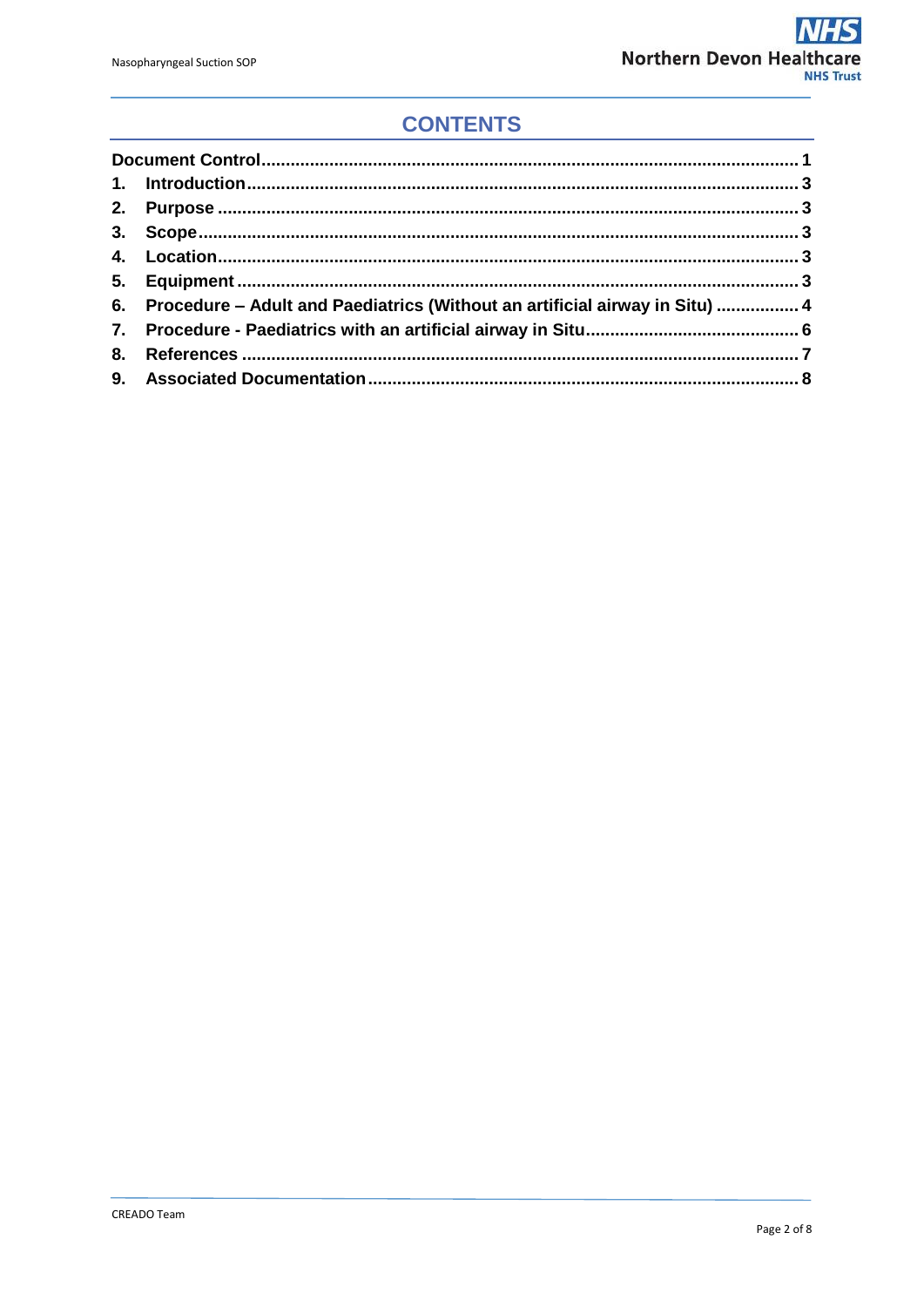## **CONTENTS**

| 6. Procedure - Adult and Paediatrics (Without an artificial airway in Situ)  4 |  |
|--------------------------------------------------------------------------------|--|
|                                                                                |  |
|                                                                                |  |
|                                                                                |  |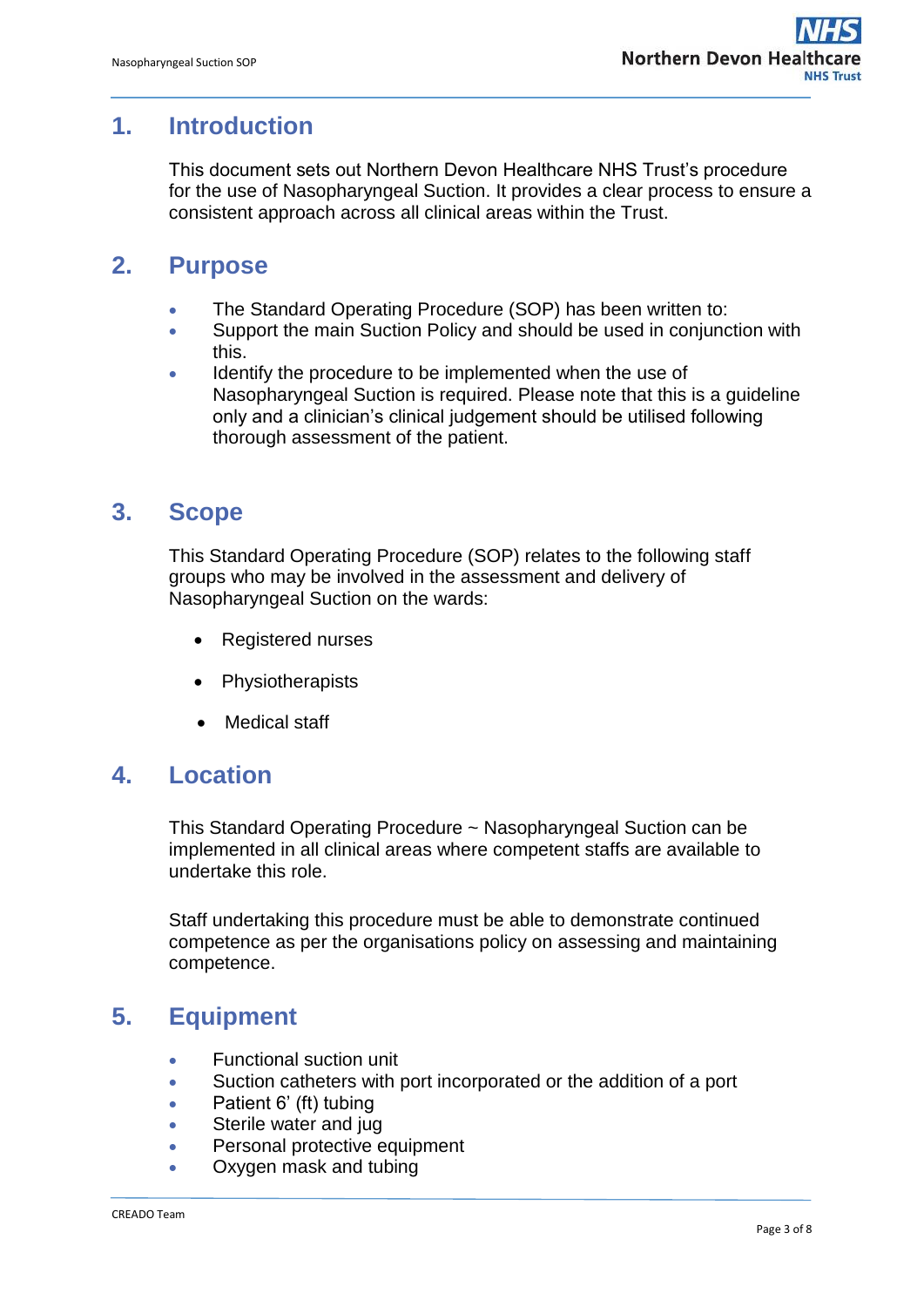### <span id="page-2-0"></span>**1. Introduction**

This document sets out Northern Devon Healthcare NHS Trust's procedure for the use of Nasopharyngeal Suction. It provides a clear process to ensure a consistent approach across all clinical areas within the Trust.

## <span id="page-2-1"></span>**2. Purpose**

- The Standard Operating Procedure (SOP) has been written to:
- Support the main Suction Policy and should be used in conjunction with this.
- Identify the procedure to be implemented when the use of Nasopharyngeal Suction is required. Please note that this is a guideline only and a clinician's clinical judgement should be utilised following thorough assessment of the patient.

## <span id="page-2-2"></span>**3. Scope**

This Standard Operating Procedure (SOP) relates to the following staff groups who may be involved in the assessment and delivery of Nasopharyngeal Suction on the wards:

- Registered nurses
- Physiotherapists
- Medical staff

#### <span id="page-2-3"></span>**4. Location**

This Standard Operating Procedure ~ Nasopharyngeal Suction can be implemented in all clinical areas where competent staffs are available to undertake this role.

Staff undertaking this procedure must be able to demonstrate continued competence as per the organisations policy on assessing and maintaining competence.

## <span id="page-2-4"></span>**5. Equipment**

- Functional suction unit
- Suction catheters with port incorporated or the addition of a port
- Patient 6' (ft) tubing
- Sterile water and jug
- Personal protective equipment
- Oxygen mask and tubing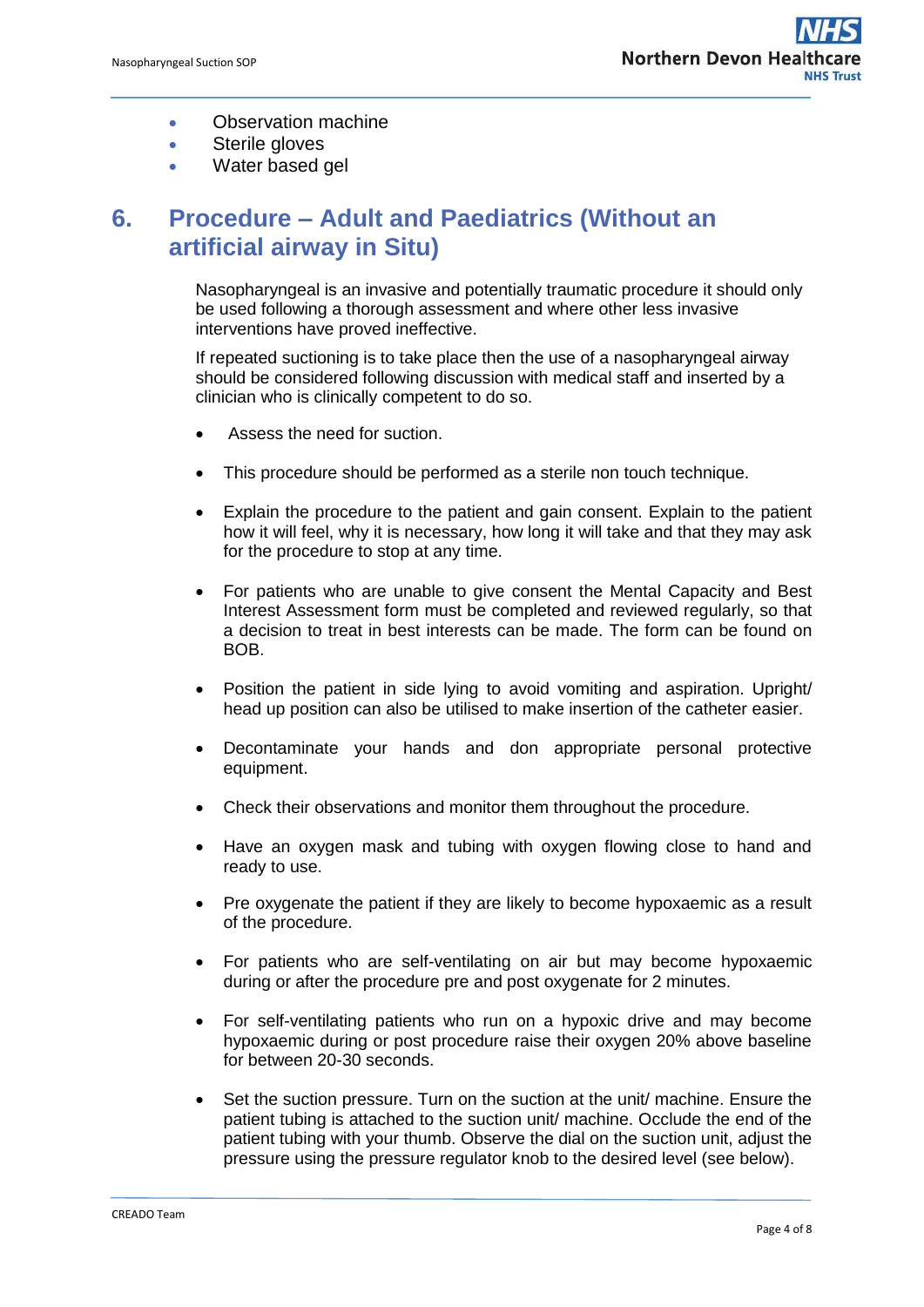- Observation machine
- **•** Sterile gloves
- Water based gel

## <span id="page-3-0"></span>**6. Procedure – Adult and Paediatrics (Without an artificial airway in Situ)**

Nasopharyngeal is an invasive and potentially traumatic procedure it should only be used following a thorough assessment and where other less invasive interventions have proved ineffective.

If repeated suctioning is to take place then the use of a nasopharyngeal airway should be considered following discussion with medical staff and inserted by a clinician who is clinically competent to do so.

- Assess the need for suction.
- This procedure should be performed as a sterile non touch technique.
- Explain the procedure to the patient and gain consent. Explain to the patient how it will feel, why it is necessary, how long it will take and that they may ask for the procedure to stop at any time.
- For patients who are unable to give consent the Mental Capacity and Best Interest Assessment form must be completed and reviewed regularly, so that a decision to treat in best interests can be made. The form can be found on BOB.
- Position the patient in side Iving to avoid vomiting and aspiration. Upright/ head up position can also be utilised to make insertion of the catheter easier.
- Decontaminate your hands and don appropriate personal protective equipment.
- Check their observations and monitor them throughout the procedure.
- Have an oxygen mask and tubing with oxygen flowing close to hand and ready to use.
- Pre oxygenate the patient if they are likely to become hypoxaemic as a result of the procedure.
- For patients who are self-ventilating on air but may become hypoxaemic during or after the procedure pre and post oxygenate for 2 minutes.
- For self-ventilating patients who run on a hypoxic drive and may become hypoxaemic during or post procedure raise their oxygen 20% above baseline for between 20-30 seconds.
- Set the suction pressure. Turn on the suction at the unit/ machine. Ensure the patient tubing is attached to the suction unit/ machine. Occlude the end of the patient tubing with your thumb. Observe the dial on the suction unit, adjust the pressure using the pressure regulator knob to the desired level (see below).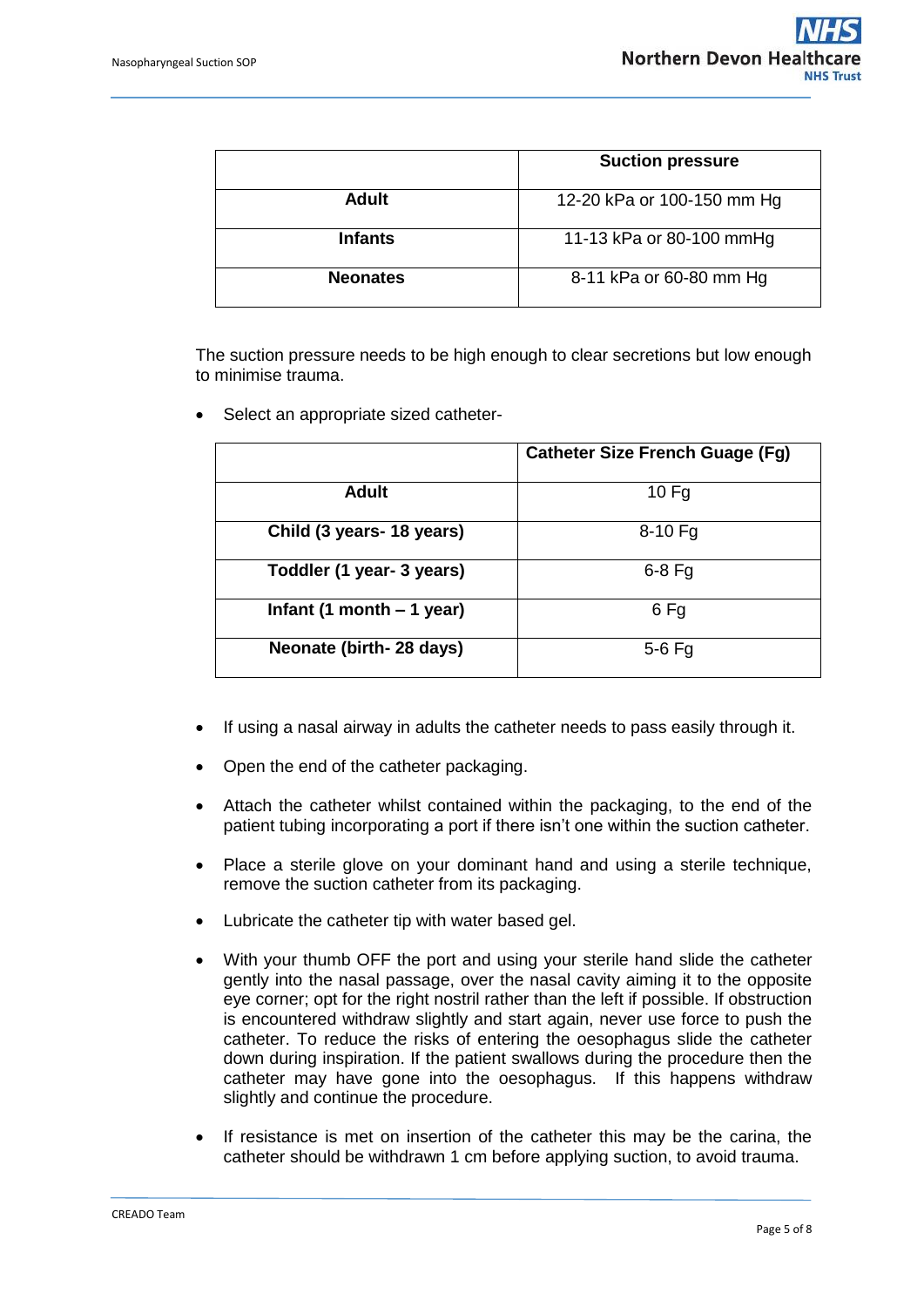|                 | <b>Suction pressure</b>    |
|-----------------|----------------------------|
| <b>Adult</b>    | 12-20 kPa or 100-150 mm Hg |
| <b>Infants</b>  | 11-13 kPa or 80-100 mmHg   |
| <b>Neonates</b> | 8-11 kPa or 60-80 mm Hg    |

The suction pressure needs to be high enough to clear secretions but low enough to minimise trauma.

Select an appropriate sized catheter-

|                             | <b>Catheter Size French Guage (Fg)</b> |
|-----------------------------|----------------------------------------|
| <b>Adult</b>                | $10$ Fg                                |
| Child (3 years- 18 years)   | $8-10$ Fg                              |
| Toddler (1 year- 3 years)   | $6-8$ Fg                               |
| Infant (1 month $-$ 1 year) | 6 Fg                                   |
| Neonate (birth- 28 days)    | $5-6$ Fg                               |

- If using a nasal airway in adults the catheter needs to pass easily through it.
- Open the end of the catheter packaging.
- Attach the catheter whilst contained within the packaging, to the end of the patient tubing incorporating a port if there isn't one within the suction catheter.
- Place a sterile glove on your dominant hand and using a sterile technique, remove the suction catheter from its packaging.
- Lubricate the catheter tip with water based gel.
- With your thumb OFF the port and using your sterile hand slide the catheter gently into the nasal passage, over the nasal cavity aiming it to the opposite eye corner; opt for the right nostril rather than the left if possible. If obstruction is encountered withdraw slightly and start again, never use force to push the catheter. To reduce the risks of entering the oesophagus slide the catheter down during inspiration. If the patient swallows during the procedure then the catheter may have gone into the oesophagus. If this happens withdraw slightly and continue the procedure.
- If resistance is met on insertion of the catheter this may be the carina, the catheter should be withdrawn 1 cm before applying suction, to avoid trauma.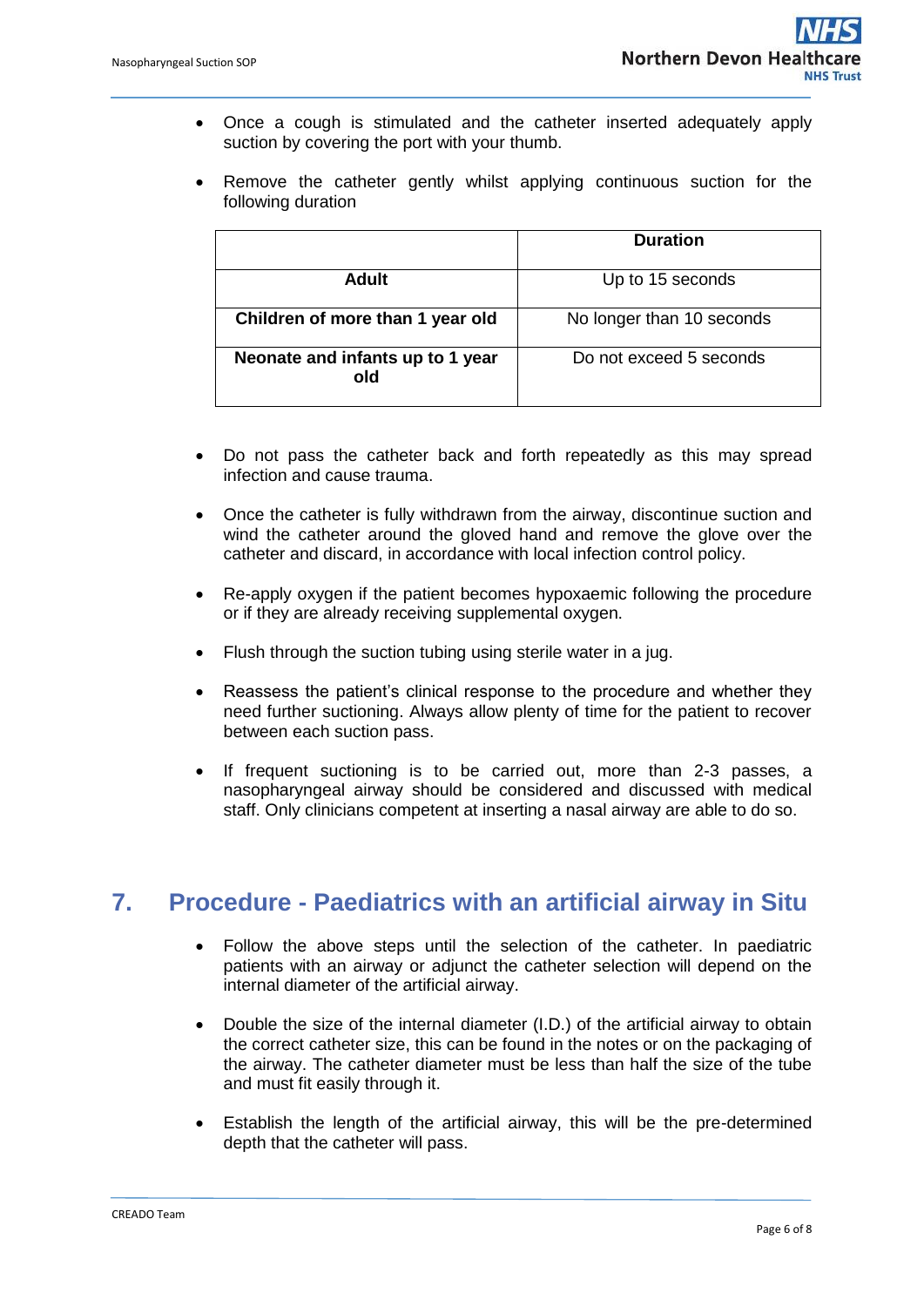- Once a cough is stimulated and the catheter inserted adequately apply suction by covering the port with your thumb.
- Remove the catheter gently whilst applying continuous suction for the following duration

|                                         | <b>Duration</b>           |  |
|-----------------------------------------|---------------------------|--|
| Adult                                   | Up to 15 seconds          |  |
| Children of more than 1 year old        | No longer than 10 seconds |  |
| Neonate and infants up to 1 year<br>old | Do not exceed 5 seconds   |  |

- Do not pass the catheter back and forth repeatedly as this may spread infection and cause trauma.
- Once the catheter is fully withdrawn from the airway, discontinue suction and wind the catheter around the gloved hand and remove the glove over the catheter and discard, in accordance with local infection control policy.
- Re-apply oxygen if the patient becomes hypoxaemic following the procedure or if they are already receiving supplemental oxygen.
- Flush through the suction tubing using sterile water in a jug.
- Reassess the patient's clinical response to the procedure and whether they need further suctioning. Always allow plenty of time for the patient to recover between each suction pass.
- If frequent suctioning is to be carried out, more than 2-3 passes, a nasopharyngeal airway should be considered and discussed with medical staff. Only clinicians competent at inserting a nasal airway are able to do so.

#### <span id="page-5-0"></span>**7. Procedure - Paediatrics with an artificial airway in Situ**

- Follow the above steps until the selection of the catheter. In paediatric patients with an airway or adjunct the catheter selection will depend on the internal diameter of the artificial airway.
- Double the size of the internal diameter (I.D.) of the artificial airway to obtain the correct catheter size, this can be found in the notes or on the packaging of the airway. The catheter diameter must be less than half the size of the tube and must fit easily through it.
- Establish the length of the artificial airway, this will be the pre-determined depth that the catheter will pass.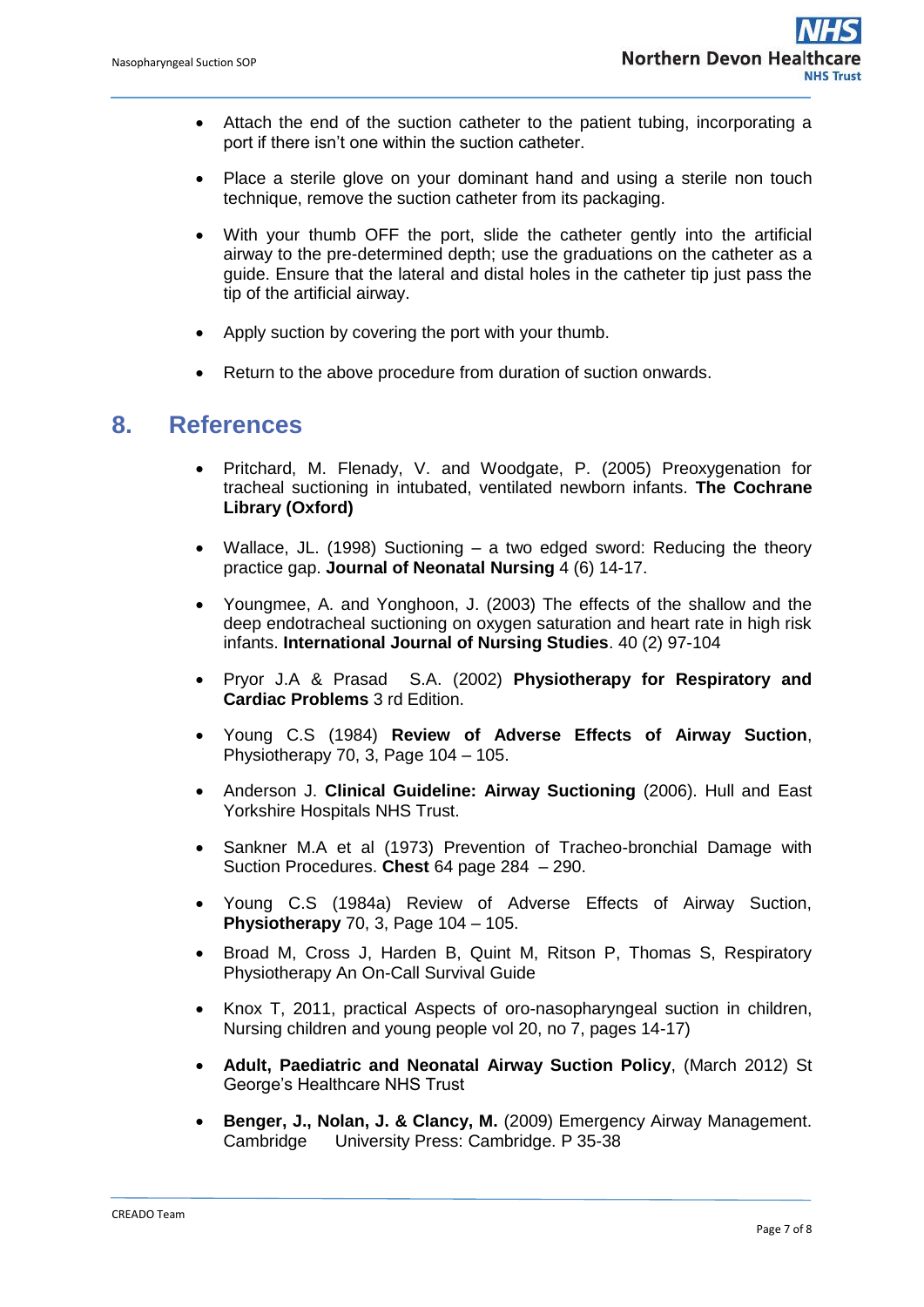- Attach the end of the suction catheter to the patient tubing, incorporating a port if there isn't one within the suction catheter.
- Place a sterile glove on your dominant hand and using a sterile non touch technique, remove the suction catheter from its packaging.
- With your thumb OFF the port, slide the catheter gently into the artificial airway to the pre-determined depth; use the graduations on the catheter as a guide. Ensure that the lateral and distal holes in the catheter tip just pass the tip of the artificial airway.
- Apply suction by covering the port with your thumb.
- Return to the above procedure from duration of suction onwards.

#### <span id="page-6-0"></span>**8. References**

- Pritchard, M. Flenady, V. and Woodgate, P. (2005) Preoxygenation for tracheal suctioning in intubated, ventilated newborn infants. **The Cochrane Library (Oxford)**
- Wallace, JL. (1998) Suctioning a two edged sword: Reducing the theory practice gap. **Journal of Neonatal Nursing** 4 (6) 14-17.
- Youngmee, A. and Yonghoon, J. (2003) The effects of the shallow and the deep endotracheal suctioning on oxygen saturation and heart rate in high risk infants. **International Journal of Nursing Studies**. 40 (2) 97-104
- Pryor J.A & Prasad S.A. (2002) **Physiotherapy for Respiratory and Cardiac Problems** 3 rd Edition.
- Young C.S (1984) **Review of Adverse Effects of Airway Suction**, Physiotherapy 70, 3, Page 104 – 105.
- Anderson J. **Clinical Guideline: Airway Suctioning** (2006). Hull and East Yorkshire Hospitals NHS Trust.
- Sankner M.A et al (1973) Prevention of Tracheo-bronchial Damage with Suction Procedures. **Chest** 64 page 284 – 290.
- Young C.S (1984a) Review of Adverse Effects of Airway Suction, **Physiotherapy** 70, 3, Page 104 – 105.
- Broad M, Cross J, Harden B, Quint M, Ritson P, Thomas S, Respiratory Physiotherapy An On-Call Survival Guide
- Knox T, 2011, practical Aspects of oro-nasopharyngeal suction in children, Nursing children and young people vol 20, no 7, pages 14-17)
- **Adult, Paediatric and Neonatal Airway Suction Policy**, (March 2012) St George's Healthcare NHS Trust
- **Benger, J., Nolan, J. & Clancy, M.** (2009) Emergency Airway Management. Cambridge University Press: Cambridge. P 35-38